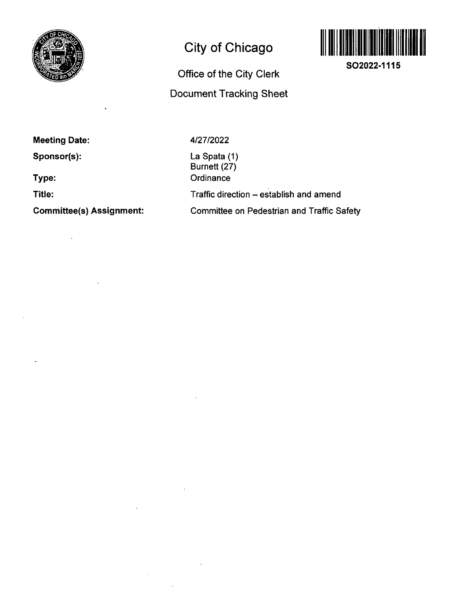

## **City of Chicago**



**SO2022-1115** 

# **Office of the City Clerk Document Tracking Sheet**

**Meeting Date:** 

**Sponsor(s):** 

**Type:** 

**Title:** 

**Committee(s) Assignment:** 

4/27/2022

La Spata (1) Burnett (27) **Ordinance** Traffic direction - establish and amend Committee on Pedestrian and Traffic Safety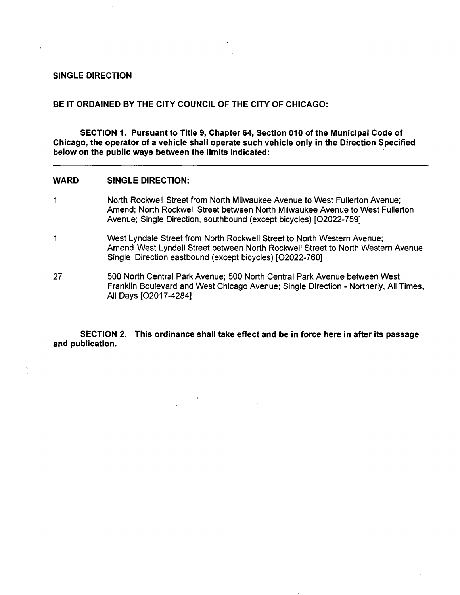#### **SINGLE DIRECTION**

### **BE IT ORDAINED BY THE CITY COUNCIL OF THE CITY OF CHICAGO:**

**SECTION 1. Pursuant to Titie 9, Chapter 64, Section 010 of the Municipal Code of Chicago, the operator of a vehicle shall operate such vehicle only in the Direction Specified below on the public ways between the limits indicated:** 

#### **WARD SINGLE DIRECTION:**

- 1 North Rockwell Street from North Milwaukee Avenue to West Fullerton Avenue; Amend; North Rockwell Street between North Milwaukee Avenue to West Fullerton Avenue; Single Direction, southbound (except bicycles) [02022-759]
- 1 West Lyndale Street from North Rockwell Street to North Western Avenue; Amend West Lyndell Street between North Rockwell Street to North Western Avenue; Single Direction eastbound (except bicycles) [02022-760]
- 27 500 North Central Park Avenue; 500 North Central Park Avenue between West Franklin Boulevard and West Chicago Avenue; Single Direction - Northerly, All Times, All Days [02017-4284]

**SECTION 2. This ordinance shall take effect and be in force here in after its passage and publication.**